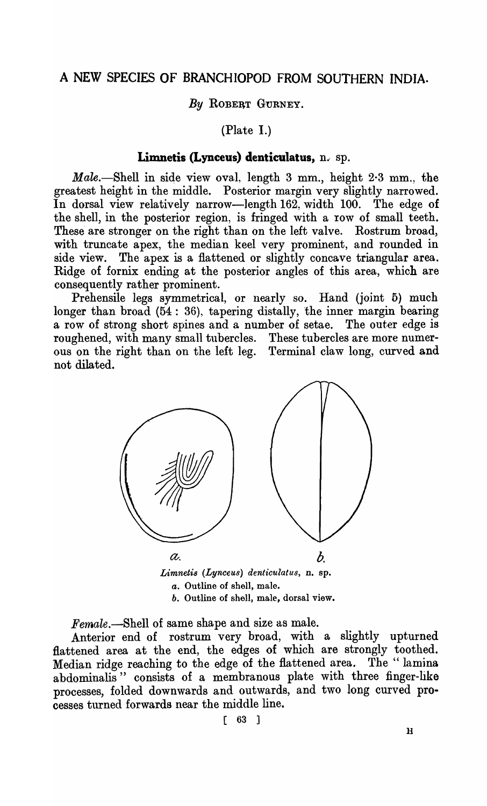## A NEW SPECIES OF BRANCHIOPOD FROM SOUTHERN INDIA.

By ROBERT GURNEY.

(Plate I.)

## Limnetis (Lynceus) denticulatus, n. sp.

*Male.*—Shell in side view oval, length 3 mm., height  $2·3$  mm., the greatest height in the middle. Posterior margin very slightly narrowed. In dorsal view relatively narrow-length 162, width 100. The edge of the shell, in the posterior region, is fringed with a row of small teeth. These are stronger on the right than on the left valve. Rostrum broad, with truncate apex, the median keel very prominent, and rounded in side view. The apex is a flattened or slightly concave triangular area. Ridge of fornix ending at the posterior angles of this area, which are consequently rather prominent.

Prehensile legs symmetrical, or nearly so. Hand (joint 5) much longer than broad (54: 36), tapering distally, the inner margin bearing a row of strong short spines and a number of setae. The outer edge is roughened, with many small tubercles. These tubercles are more numerous on the right than on the left leg. Terminal claw long, curved and not dilated.



*Female.-Shell* of same shape and size as male.

Anterior end of rostrum very broad, with a slightly upturned flattened area at the end, the edges of which are strongly toothed. Median ridge reaching to the edge of the flattened area. The "lamina" abdominalis" consists of a membranous plate with three finger-like processes, folded downwards and outwards, and two long curved processes turned forwards near the middle line.